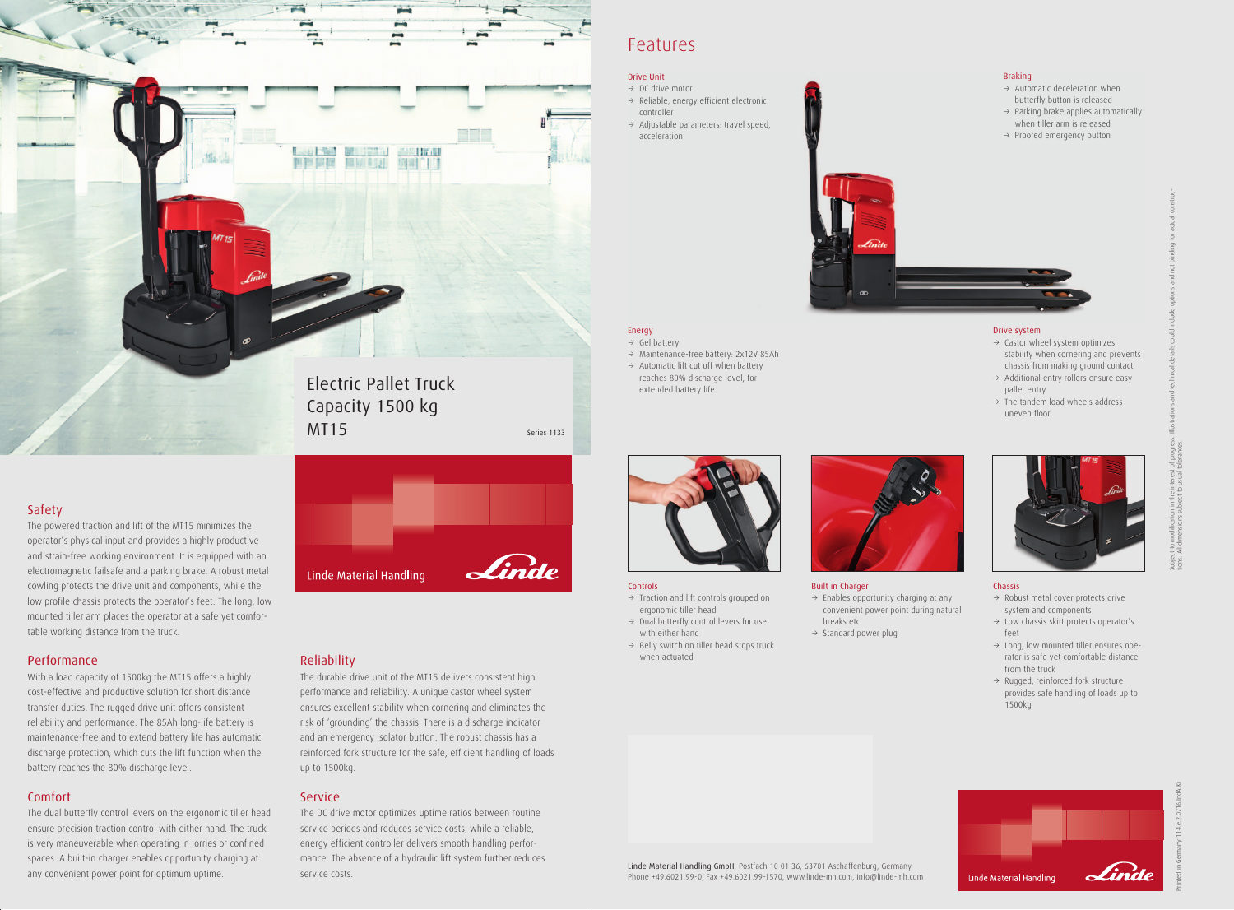### Safety

The powered traction and lift of the MT15 minimizes the operator's physical input and provides a highly productive and strain-free working environment. It is equipped with an electromagnetic failsafe and a parking brake. A robust metal cowling protects the drive unit and components, while the low profile chassis protects the operator's feet. The long, low mounted tiller arm places the operator at a safe yet comfortable working distance from the truck.

#### Performance

With a load capacity of 1500kg the MT15 offers a highly cost-effective and productive solution for short distance transfer duties. The rugged drive unit offers consistent reliability and performance. The 85Ah long-life battery is maintenance-free and to extend battery life has automatic discharge protection, which cuts the lift function when the battery reaches the 80% discharge level.

### Comfort

The dual butterfly control levers on the ergonomic tiller head ensure precision traction control with either hand. The truck is very maneuverable when operating in lorries or confined spaces. A built-in charger enables opportunity charging at any convenient power point for optimum uptime.



- $\rightarrow$  Traction and lift controls grouped on ergonomic tiller head
- $\rightarrow$  Dual butterfly control levers for use with either hand
- $\rightarrow$  Belly switch on tiller head stops truck when actuated



- $\rightarrow$  Gel battery
- $\rightarrow$  Maintenance-free battery: 2x12V 85Ah
- $\rightarrow$  Automatic lift cut off when battery reaches 80% discharge level, for extended battery life

#### Reliability

- $\rightarrow$  Castor wheel system optimizes stability when cornering and prevents chassis from making ground contact
- $\rightarrow$  Additional entry rollers ensure easy pallet entry
- $\rightarrow$  The tandem load wheels address uneven floor



The durable drive unit of the MT15 delivers consistent high performance and reliability. A unique castor wheel system ensures excellent stability when cornering and eliminates the risk of 'grounding' the chassis. There is a discharge indicator and an emergency isolator button. The robust chassis has a reinforced fork structure for the safe, efficient handling of loads up to 1500kg.

- $\rightarrow$  Robust metal cover protects drive system and components
- $\rightarrow$  Low chassis skirt protects operator's feet
- $\rightarrow$  Long, low mounted tiller ensures operator is safe yet comfortable distance from the truck
- $\rightarrow$  Rugged, reinforced fork structure provides safe handling of loads up to 1500kg

#### Service

The DC drive motor optimizes uptime ratios between routine service periods and reduces service costs, while a reliable, energy efficient controller delivers smooth handling performance. The absence of a hydraulic lift system further reduces service costs.



- $\rightarrow$  DC drive motor  $\rightarrow$  Reliable, energy efficient electronic controller
- $\rightarrow$  Adjustable parameters: travel speed, acceleration



## Features

Linde Material Handling GmbH, Postfach 10 01 36, 63701 Aschaffenburg, Germany Phone +49.6021.99-0, Fax +49.6021.99-1570, www.linde-mh.com, info@linde-mh.com

#### Controls

#### Energy

#### Built in Charger

- $\rightarrow$  Enables opportunity charging at any convenient power point during natural breaks etc
- $\rightarrow$  Standard power plug

#### Drive system

#### Chassis



Subject to modification in the interest of progress. Illustrations and technical details could include options and not binding for actual constructions. All dimensions subject to usual tolerances.

#### Braking

- $\rightarrow$  Automatic deceleration when butterfly button is released
- $\rightarrow$  Parking brake applies automatically when tiller arm is released
- $\rightarrow$  Proofed emergency button



#### Drive Unit